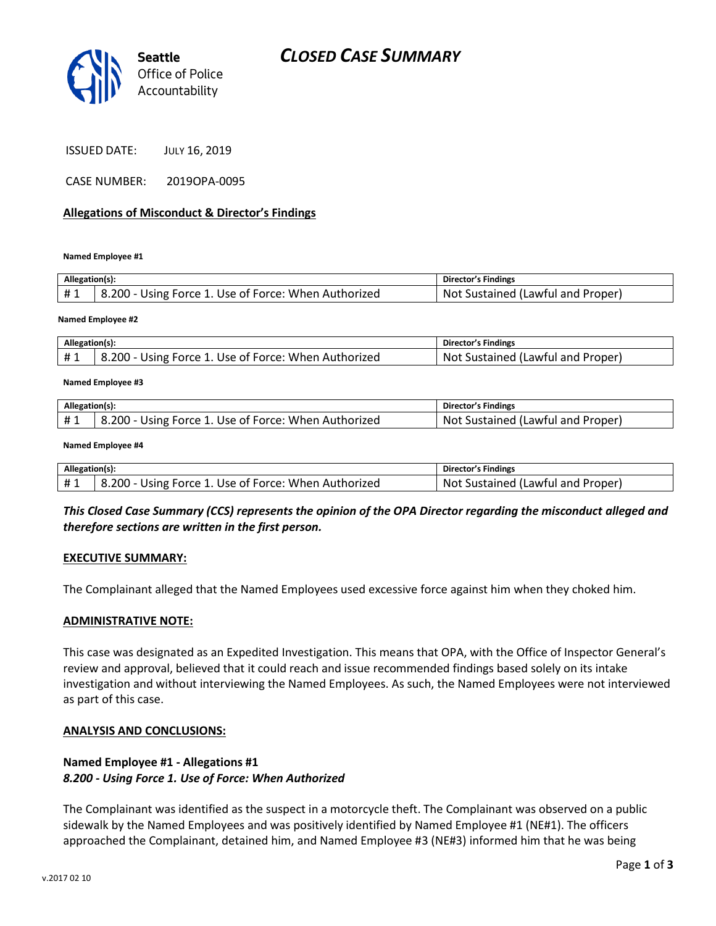

ISSUED DATE: JULY 16, 2019

CASE NUMBER: 2019OPA-0095

#### **Allegations of Misconduct & Director's Findings**

**Named Employee #1**

| Allegation(s): |                                                      | Director's Findings               |
|----------------|------------------------------------------------------|-----------------------------------|
| #1             | 8.200 - Using Force 1. Use of Force: When Authorized | Not Sustained (Lawful and Proper) |
|                |                                                      |                                   |

#### **Named Employee #2**

| Allegation(s): |                                                      | Director's Findings               |
|----------------|------------------------------------------------------|-----------------------------------|
|                | 8.200 - Using Force 1. Use of Force: When Authorized | Not Sustained (Lawful and Proper) |

#### **Named Employee #3**

| Allegation(s): |                                                              | Director's Findings                              |
|----------------|--------------------------------------------------------------|--------------------------------------------------|
|                | $.200 - 7$<br>- Using Force 1. Use of Force: When Authorized | <b>Not</b><br>J (Lawful and Proper)<br>Sustained |

#### **Named Employee #4**

| Allegation(s): |                                                      | Director's Findings               |
|----------------|------------------------------------------------------|-----------------------------------|
| #1             | 8.200 - Using Force 1. Use of Force: When Authorized | Not Sustained (Lawful and Proper) |

# *This Closed Case Summary (CCS) represents the opinion of the OPA Director regarding the misconduct alleged and therefore sections are written in the first person.*

#### **EXECUTIVE SUMMARY:**

The Complainant alleged that the Named Employees used excessive force against him when they choked him.

#### **ADMINISTRATIVE NOTE:**

This case was designated as an Expedited Investigation. This means that OPA, with the Office of Inspector General's review and approval, believed that it could reach and issue recommended findings based solely on its intake investigation and without interviewing the Named Employees. As such, the Named Employees were not interviewed as part of this case.

#### **ANALYSIS AND CONCLUSIONS:**

# **Named Employee #1 - Allegations #1** *8.200 - Using Force 1. Use of Force: When Authorized*

The Complainant was identified as the suspect in a motorcycle theft. The Complainant was observed on a public sidewalk by the Named Employees and was positively identified by Named Employee #1 (NE#1). The officers approached the Complainant, detained him, and Named Employee #3 (NE#3) informed him that he was being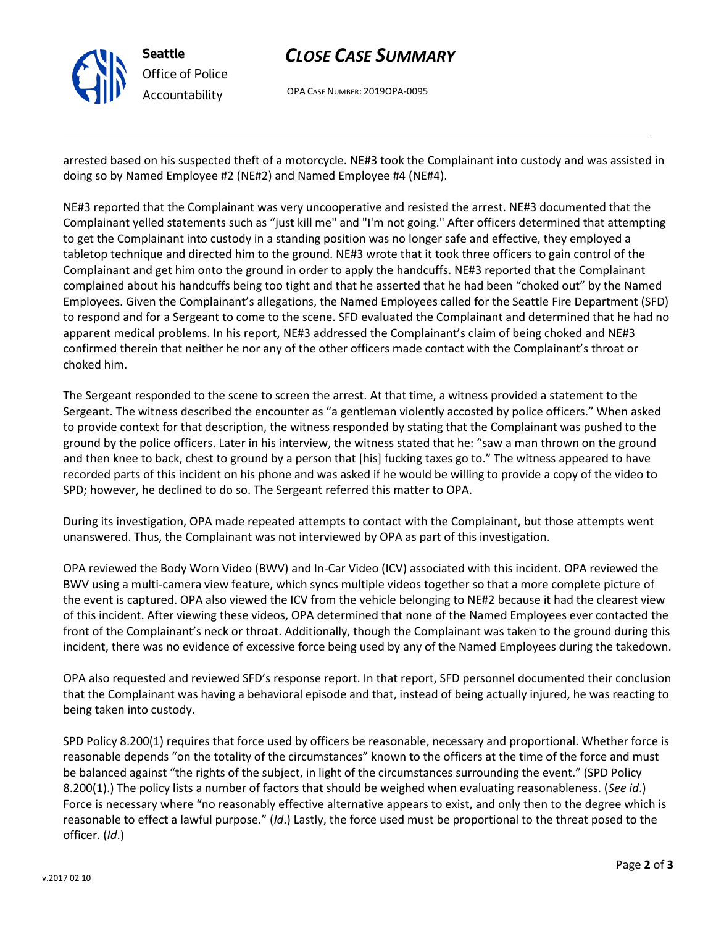

# *CLOSE CASE SUMMARY*

OPA CASE NUMBER: 2019OPA-0095

arrested based on his suspected theft of a motorcycle. NE#3 took the Complainant into custody and was assisted in doing so by Named Employee #2 (NE#2) and Named Employee #4 (NE#4).

NE#3 reported that the Complainant was very uncooperative and resisted the arrest. NE#3 documented that the Complainant yelled statements such as "just kill me" and "I'm not going." After officers determined that attempting to get the Complainant into custody in a standing position was no longer safe and effective, they employed a tabletop technique and directed him to the ground. NE#3 wrote that it took three officers to gain control of the Complainant and get him onto the ground in order to apply the handcuffs. NE#3 reported that the Complainant complained about his handcuffs being too tight and that he asserted that he had been "choked out" by the Named Employees. Given the Complainant's allegations, the Named Employees called for the Seattle Fire Department (SFD) to respond and for a Sergeant to come to the scene. SFD evaluated the Complainant and determined that he had no apparent medical problems. In his report, NE#3 addressed the Complainant's claim of being choked and NE#3 confirmed therein that neither he nor any of the other officers made contact with the Complainant's throat or choked him.

The Sergeant responded to the scene to screen the arrest. At that time, a witness provided a statement to the Sergeant. The witness described the encounter as "a gentleman violently accosted by police officers." When asked to provide context for that description, the witness responded by stating that the Complainant was pushed to the ground by the police officers. Later in his interview, the witness stated that he: "saw a man thrown on the ground and then knee to back, chest to ground by a person that [his] fucking taxes go to." The witness appeared to have recorded parts of this incident on his phone and was asked if he would be willing to provide a copy of the video to SPD; however, he declined to do so. The Sergeant referred this matter to OPA.

During its investigation, OPA made repeated attempts to contact with the Complainant, but those attempts went unanswered. Thus, the Complainant was not interviewed by OPA as part of this investigation.

OPA reviewed the Body Worn Video (BWV) and In-Car Video (ICV) associated with this incident. OPA reviewed the BWV using a multi-camera view feature, which syncs multiple videos together so that a more complete picture of the event is captured. OPA also viewed the ICV from the vehicle belonging to NE#2 because it had the clearest view of this incident. After viewing these videos, OPA determined that none of the Named Employees ever contacted the front of the Complainant's neck or throat. Additionally, though the Complainant was taken to the ground during this incident, there was no evidence of excessive force being used by any of the Named Employees during the takedown.

OPA also requested and reviewed SFD's response report. In that report, SFD personnel documented their conclusion that the Complainant was having a behavioral episode and that, instead of being actually injured, he was reacting to being taken into custody.

SPD Policy 8.200(1) requires that force used by officers be reasonable, necessary and proportional. Whether force is reasonable depends "on the totality of the circumstances" known to the officers at the time of the force and must be balanced against "the rights of the subject, in light of the circumstances surrounding the event." (SPD Policy 8.200(1).) The policy lists a number of factors that should be weighed when evaluating reasonableness. (*See id*.) Force is necessary where "no reasonably effective alternative appears to exist, and only then to the degree which is reasonable to effect a lawful purpose." (*Id*.) Lastly, the force used must be proportional to the threat posed to the officer. (*Id*.)